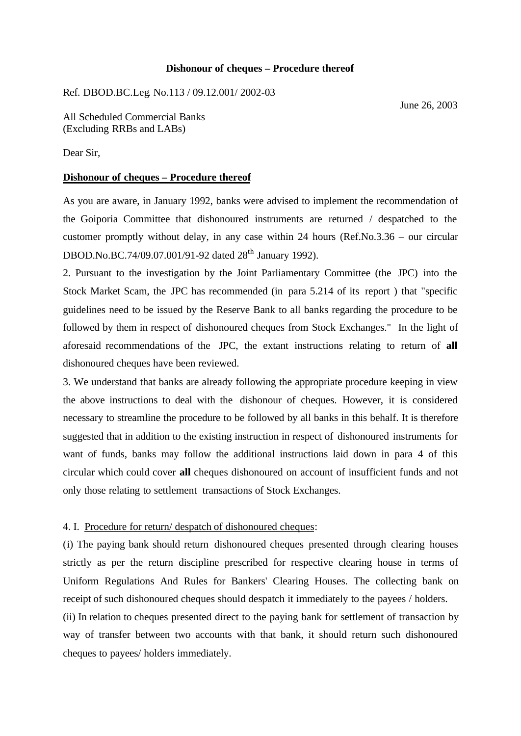### **Dishonour of cheques – Procedure thereof**

Ref. DBOD.BC.Leg. No.113 / 09.12.001/ 2002-03

June 26, 2003

All Scheduled Commercial Banks (Excluding RRBs and LABs)

Dear Sir,

# **Dishonour of cheques – Procedure thereof**

As you are aware, in January 1992, banks were advised to implement the recommendation of the Goiporia Committee that dishonoured instruments are returned / despatched to the customer promptly without delay, in any case within 24 hours (Ref.No.3.36 – our circular DBOD.No.BC.74/09.07.001/91-92 dated 28<sup>th</sup> January 1992).

2. Pursuant to the investigation by the Joint Parliamentary Committee (the JPC) into the Stock Market Scam, the JPC has recommended (in para 5.214 of its report ) that "specific guidelines need to be issued by the Reserve Bank to all banks regarding the procedure to be followed by them in respect of dishonoured cheques from Stock Exchanges." In the light of aforesaid recommendations of the JPC, the extant instructions relating to return of **all** dishonoured cheques have been reviewed.

3. We understand that banks are already following the appropriate procedure keeping in view the above instructions to deal with the dishonour of cheques. However, it is considered necessary to streamline the procedure to be followed by all banks in this behalf. It is therefore suggested that in addition to the existing instruction in respect of dishonoured instruments for want of funds, banks may follow the additional instructions laid down in para 4 of this circular which could cover **all** cheques dishonoured on account of insufficient funds and not only those relating to settlement transactions of Stock Exchanges.

### 4. I. Procedure for return/ despatch of dishonoured cheques:

(i) The paying bank should return dishonoured cheques presented through clearing houses strictly as per the return discipline prescribed for respective clearing house in terms of Uniform Regulations And Rules for Bankers' Clearing Houses. The collecting bank on receipt of such dishonoured cheques should despatch it immediately to the payees / holders.

(ii) In relation to cheques presented direct to the paying bank for settlement of transaction by way of transfer between two accounts with that bank, it should return such dishonoured cheques to payees/ holders immediately.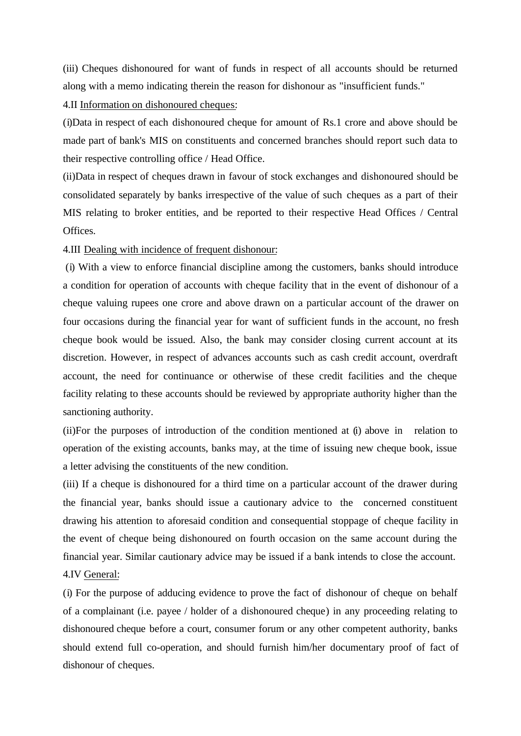(iii) Cheques dishonoured for want of funds in respect of all accounts should be returned along with a memo indicating therein the reason for dishonour as "insufficient funds."

# 4.II Information on dishonoured cheques:

(i)Data in respect of each dishonoured cheque for amount of Rs.1 crore and above should be made part of bank's MIS on constituents and concerned branches should report such data to their respective controlling office / Head Office.

(ii)Data in respect of cheques drawn in favour of stock exchanges and dishonoured should be consolidated separately by banks irrespective of the value of such cheques as a part of their MIS relating to broker entities, and be reported to their respective Head Offices / Central Offices.

### 4.III Dealing with incidence of frequent dishonour:

(i) With a view to enforce financial discipline among the customers, banks should introduce a condition for operation of accounts with cheque facility that in the event of dishonour of a cheque valuing rupees one crore and above drawn on a particular account of the drawer on four occasions during the financial year for want of sufficient funds in the account, no fresh cheque book would be issued. Also, the bank may consider closing current account at its discretion. However, in respect of advances accounts such as cash credit account, overdraft account, the need for continuance or otherwise of these credit facilities and the cheque facility relating to these accounts should be reviewed by appropriate authority higher than the sanctioning authority.

(ii)For the purposes of introduction of the condition mentioned at (i) above in relation to operation of the existing accounts, banks may, at the time of issuing new cheque book, issue a letter advising the constituents of the new condition.

(iii) If a cheque is dishonoured for a third time on a particular account of the drawer during the financial year, banks should issue a cautionary advice to the concerned constituent drawing his attention to aforesaid condition and consequential stoppage of cheque facility in the event of cheque being dishonoured on fourth occasion on the same account during the financial year. Similar cautionary advice may be issued if a bank intends to close the account. 4.IV General:

(i) For the purpose of adducing evidence to prove the fact of dishonour of cheque on behalf of a complainant (i.e. payee / holder of a dishonoured cheque) in any proceeding relating to dishonoured cheque before a court, consumer forum or any other competent authority, banks should extend full co-operation, and should furnish him/her documentary proof of fact of dishonour of cheques.